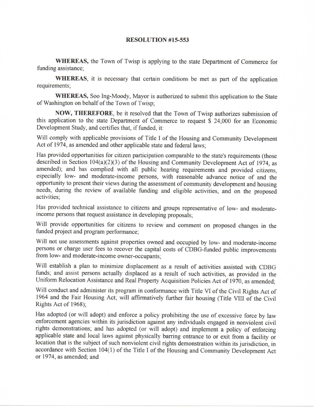## **RESOLUTION #15-553**

**WHEREAS,** the Town of Twisp is applying to the state Department of Commerce for funding assistance;

**WHEREAS,** it is necessary that certain conditions be met as part of the application requirements;

WHEREAS, Soo Ing-Moody, Mayor is authorized to submit this application to the State of Washington on behalf of the Town of Twisp;

**NOW, THEREFORE,** be it resolved that the Town of Twisp authorizes submission of this application to the state Department of Commerce to request \$ 24,000 for an Economic Development Study, and certifies that, if funded, it:

Will comply with applicable provisions of Title I of the Housing and Community Development Act of 1974, as amended and other applicable state and federal laws;

Has provided opportunities for citizen participation comparable to the state's requirements (those described in Section 104(a)(2)(3) of the Housing and Community Development Act of 1974, as amended); and has complied with all public hearing requirements and provided citizens, especially low- and moderate-income persons, with reasonable advance notice of and the opportunity to present their views during the assessment of community development and housing needs, during the review of available funding and eligible activities, and on the proposed activities;

Has provided technical assistance to citizens and groups representative of low- and moderateincome persons that request assistance in developing proposals;

Will provide opportunities for citizens to review and comment on proposed changes in the funded project and program performance;

Will not use assessments against properties owned and occupied by low- and moderate-income persons or charge user fees to recover the capital costs of CDBG-funded public improvements from low- and moderate-income owner-occupants;

Will establish a plan to minimize displacement as a result of activities assisted with CDBG funds; and assist persons actually displaced as a result of such activities, as provided in the Uniform Relocation Assistance and Real Property Acquisition Policies Act of 1970, as amended;

Will conduct and administer its program in conformance with Title VI of the Civil Rights Act of 1964 and the Fair Housing Act; will affirmatively further fair housing (Title VIII of the Civil Rights Act of 1968);

Has adopted (or will adopt) and enforce a policy prohibiting the use of excessive force by law enforcement agencies within its jurisdiction against any individuals engaged in nonviolent civil rights demonstrations; and has adopted (or will adopt) and implement a policy of enforcing applicable state and local laws against physically barring entrance to or exit from a facility or location that is the subject of such nonviolent civil rights demonstration within its jurisdiction, in accordance with Section 104(1) of the Title I of the Housing and Community Development Act or 1974, as amended; and